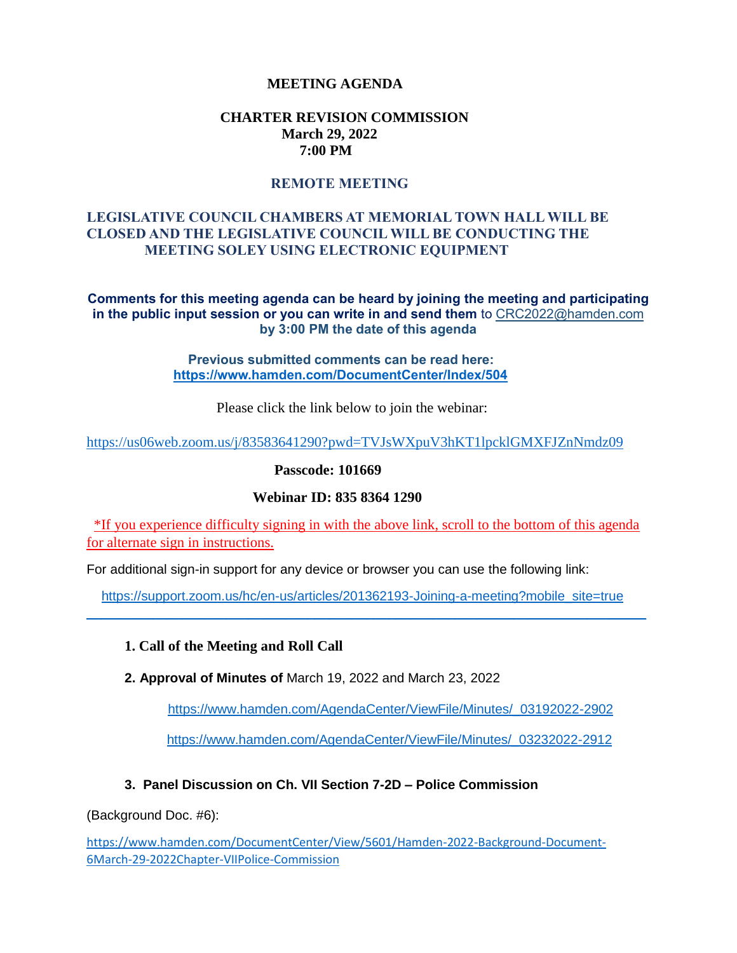### **MEETING AGENDA**

#### **CHARTER REVISION COMMISSION March 29, 2022 7:00 PM**

### **REMOTE MEETING**

### **LEGISLATIVE COUNCIL CHAMBERS AT MEMORIAL TOWN HALL WILL BE CLOSED AND THE LEGISLATIVE COUNCIL WILL BE CONDUCTING THE MEETING SOLEY USING ELECTRONIC EQUIPMENT**

**Comments for this meeting agenda can be heard by joining the meeting and participating in the public input session or you can write in and send them** to CRC2022@hamden.com **by 3:00 PM the date of this agenda** 

> **Previous submitted comments can be read here: <https://www.hamden.com/DocumentCenter/Index/504>**

> > Please click the link below to join the webinar:

<https://us06web.zoom.us/j/83583641290?pwd=TVJsWXpuV3hKT1lpcklGMXFJZnNmdz09>

**Passcode: 101669**

#### **Webinar ID: 835 8364 1290**

\*If you experience difficulty signing in with the above link, scroll to the bottom of this agenda for alternate sign in instructions.

For additional sign-in support for any device or browser you can use the following link:

[https://support.zoom.us/hc/en-us/articles/201362193-Joining-a-meeting?mobile\\_site=true](https://support.zoom.us/hc/en-us/articles/201362193-Joining-a-meeting?mobile_site=true)  $\_$  , and the set of the set of the set of the set of the set of the set of the set of the set of the set of the set of the set of the set of the set of the set of the set of the set of the set of the set of the set of th

#### **1. Call of the Meeting and Roll Call**

**2. Approval of Minutes of** March 19, 2022 and March 23, 2022

[https://www.hamden.com/AgendaCenter/ViewFile/Minutes/\\_03192022-2902](https://www.hamden.com/AgendaCenter/ViewFile/Minutes/_03192022-2902)

[https://www.hamden.com/AgendaCenter/ViewFile/Minutes/\\_03232022-2912](https://www.hamden.com/AgendaCenter/ViewFile/Minutes/_03232022-2912)

#### **3. Panel Discussion on Ch. VII Section 7-2D – Police Commission**

(Background Doc. #6):

[https://www.hamden.com/DocumentCenter/View/5601/Hamden-2022-Background-Document-](https://www.hamden.com/DocumentCenter/View/5601/Hamden-2022-Background-Document-6March-29-2022Chapter-VIIPolice-Commission)[6March-29-2022Chapter-VIIPolice-Commission](https://www.hamden.com/DocumentCenter/View/5601/Hamden-2022-Background-Document-6March-29-2022Chapter-VIIPolice-Commission)